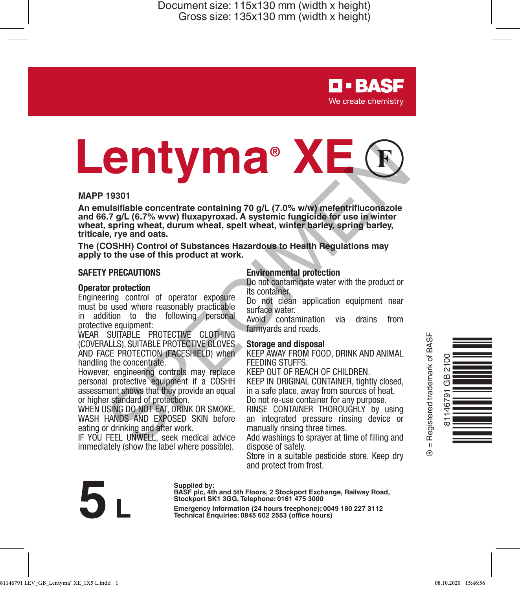> **D-BASF** We create chemistry

# **Lentyma® XE Example the content of the control of the seek method in the seek method washings of a state method of the series of the set of this product at work.<br>
SPECIMENT CONTENT CONTENT CONTENT CONTENT CONTENT CONTENT CONTENT CONT**

### **MAPP 19301**

**An emulsifiable concentrate containing 70 g/L (7.0% w/w) mefentrifluconazole and 66.7 g/L (6.7% wvw) fluxapyroxad. A systemic fungicide for use in winter wheat, spring wheat, durum wheat, spelt wheat, winter barley, spring barley, triticale, rye and oats.**

**The (COSHH) Control of Substances Hazardous to Health Regulations may apply to the use of this product at work.**

### **SAFETY PRECAUTIONS**

### **Operator protection**

Engineering control of operator exposure must be used where reasonably practicable in addition to the following personal protective equipment:

WEAR SUITABLE PROTECTIVE CLOTHING (COVERALLS), SUITABLE PROTECTIVE GLOVES AND FACE PROTECTION (FACESHIELD) when handling the concentrate.

However, engineering controls may replace personal protective equipment if a COSHH assessment shows that they provide an equal or higher standard of protection.

WHEN USING DO NOT EAT, DRINK OR SMOKE. WASH HANDS AND EXPOSED SKIN before eating or drinking and after work.

IF YOU FEEL UNWELL, seek medical advice immediately (show the label where possible).

### **Environmental protection**

Do not contaminate water with the product or its container.

Do not clean application equipment near surface water.

Avoid contamination via drains from farmyards and roads.

### **Storage and disposal**

KEEP AWAY FROM FOOD, DRINK AND ANIMAL FEEDING STUFFS.

KEEP OUT OF REACH OF CHILDREN.

KEEP IN ORIGINAL CONTAINER, tightly closed, in a safe place, away from sources of heat. Do not re-use container for any purpose.

RINSE CONTAINER THOROUGHLY by using an integrated pressure rinsing device or manually rinsing three times.

Add washings to sprayer at time of filling and dispose of safely.

Store in a suitable pesticide store. Keep dry and protect from frost.



Supplied by:<br>
BASF plc, 4th and 5th Floors, 2 Stockport Exchange, Railway Road,<br>
Stockport SK1 3GG, Telephone: 0161 475 3000<br>
Emergency Information (24 hours freephone): 0049 180 227 3112<br>
Technical Enquiries: 0845 602 255 **Stockport SK1 3GG, Telephone: 0161 475 3000**

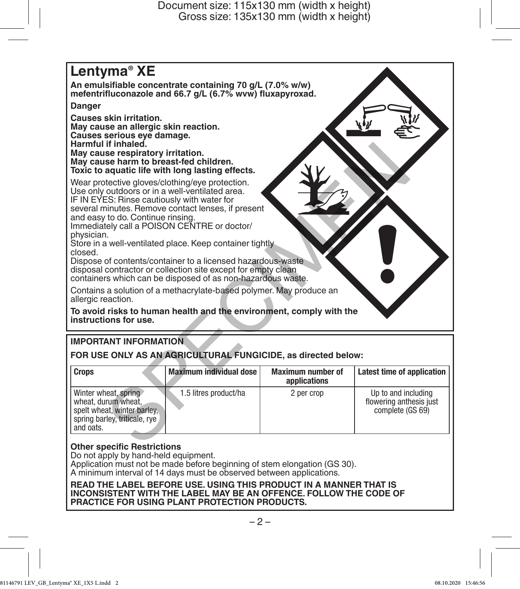## **Lentyma® XE An emulsifiable concentrate containing 70 g/L (7.0% w/w) mefentrifluconazole and 66.7 g/L (6.7% wvw) fluxapyroxad. Danger Causes skin irritation. May cause an allergic skin reaction. Causes serious eye damage. Harmful if inhaled. May cause respiratory irritation. May cause harm to breast-fed children. Toxic to aquatic life with long lasting effects.** Wear protective gloves/clothing/eye protection. Use only outdoors or in a well-ventilated area. IF IN EYES: Rinse cautiously with water for several minutes. Remove contact lenses, if present and easy to do. Continue rinsing. Immediately call a POISON CENTRE or doctor/ physician. Store in a well-ventilated place. Keep container tightly closed. Dispose of contents/container to a licensed hazardous-waste disposal contractor or collection site except for empty clean containers which can be disposed of as non-hazardous waste. Contains a solution of a methacrylate-based polymer. May produce an allergic reaction. **To avoid risks to human health and the environment, comply with the instructions for use.** r innated.<br>
se respiratory irritation.<br>
se respiratory irritation.<br>
aquatic life with long lasting effects.<br>
active gloves/clothing/eye protection.<br>
continues: Remove contact lenses, if present<br>
continued place. Keep conta

## **IMPORTANT INFORMATION**

**FOR USE ONLY AS AN AGRICULTURAL FUNGICIDE, as directed below:**

| <b>Crops</b>                                                                                                             | Maximum individual dose | <b>Maximum number of</b><br>applications | Latest time of application                                         |
|--------------------------------------------------------------------------------------------------------------------------|-------------------------|------------------------------------------|--------------------------------------------------------------------|
| Winter wheat, spring<br>wheat, durum wheat,<br>spelt wheat, winter barley.<br>spring barley, triticale, rye<br>and oats. | 1.5 litres product/ha   | 2 per crop                               | Up to and including<br>flowering anthesis just<br>complete (GS 69) |

### **Other specific Restrictions**

Do not apply by hand-held equipment.

Application must not be made before beginning of stem elongation (GS 30). A minimum interval of 14 days must be observed between applications.

**READ THE LABEL BEFORE USE. USING THIS PRODUCT IN A MANNER THAT IS INCONSISTENT WITH THE LABEL MAY BE AN OFFENCE. FOLLOW THE CODE OF PRACTICE FOR USING PLANT PROTECTION PRODUCTS.**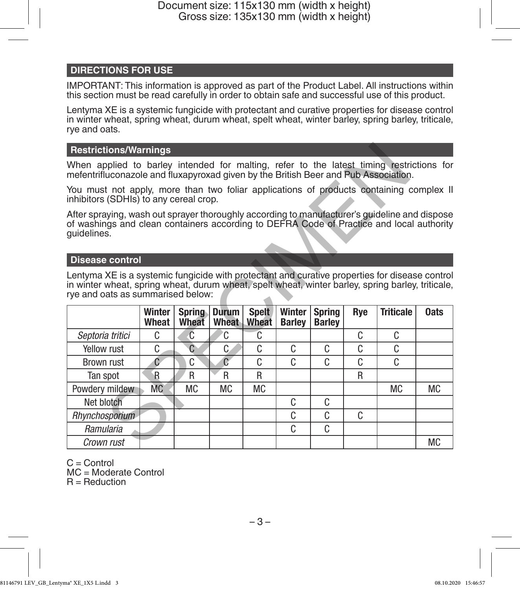### **DIRECTIONS FOR USE**

IMPORTANT: This information is approved as part of the Product Label. All instructions within this section must be read carefully in order to obtain safe and successful use of this product.

Lentyma XE is a systemic fungicide with protectant and curative properties for disease control in winter wheat, spring wheat, durum wheat, spelt wheat, winter barley, spring barley, triticale, rye and oats.

### **Restrictions/Warnings**

### **Disease control**

| <b>Restrictions/Warnings</b>                                                                                                                                                                                                             |                 |                        |                       |                       |                         |                                |     |                  |             |  |  |
|------------------------------------------------------------------------------------------------------------------------------------------------------------------------------------------------------------------------------------------|-----------------|------------------------|-----------------------|-----------------------|-------------------------|--------------------------------|-----|------------------|-------------|--|--|
| When applied to barley intended for malting, refer to the latest timing restrictions for<br>mefentrifluconazole and fluxapyroxad given by the British Beer and Pub Association.                                                          |                 |                        |                       |                       |                         |                                |     |                  |             |  |  |
| You must not apply, more than two foliar applications of products containing complex II<br>inhibitors (SDHIs) to any cereal crop.                                                                                                        |                 |                        |                       |                       |                         |                                |     |                  |             |  |  |
| After spraying, wash out sprayer thoroughly according to manufacturer's guideline and dispose<br>of washings and clean containers according to DEFRA Code of Practice and local authority<br>guidelines.                                 |                 |                        |                       |                       |                         |                                |     |                  |             |  |  |
| <b>Disease control</b>                                                                                                                                                                                                                   |                 |                        |                       |                       |                         |                                |     |                  |             |  |  |
| Lentyma XE is a systemic fungicide with protectant and curative properties for disease control<br>in winter wheat, spring wheat, durum wheat, spelt wheat, winter barley, spring barley, triticale,<br>rye and oats as summarised below: |                 |                        |                       |                       |                         |                                |     |                  |             |  |  |
|                                                                                                                                                                                                                                          | Winter<br>Wheat | <b>Spring</b><br>Wheat | <b>Durum</b><br>Wheat | <b>Spelt</b><br>Wheat | Winter<br><b>Barley</b> | <b>Spring</b><br><b>Barley</b> | Rye | <b>Triticale</b> | <b>Oats</b> |  |  |
| Septoria tritici                                                                                                                                                                                                                         | C.              | C                      | C.                    | C                     |                         |                                | C   | C                |             |  |  |
| Yellow rust                                                                                                                                                                                                                              | C               | $\overline{C}$         | C                     | C                     | C                       | C.                             | C   | C                |             |  |  |
| Brown rust                                                                                                                                                                                                                               | Ć               | C                      | $\overline{C}$        | C                     | C                       | C                              | C   | C                |             |  |  |
| Tan spot                                                                                                                                                                                                                                 | $\mathsf{R}$    | R                      | R                     | R                     |                         |                                | R   |                  |             |  |  |
| Powdery mildew                                                                                                                                                                                                                           | <b>MC</b>       | <b>MC</b>              | МC                    | <b>MC</b>             |                         |                                |     | <b>MC</b>        | <b>MC</b>   |  |  |
| Net blotch                                                                                                                                                                                                                               |                 |                        |                       |                       | C                       | C.                             |     |                  |             |  |  |
| Rhynchosporium                                                                                                                                                                                                                           |                 |                        |                       |                       | C                       | C                              | C   |                  |             |  |  |
| Ramularia                                                                                                                                                                                                                                |                 |                        |                       |                       | C                       | C                              |     |                  |             |  |  |
| Crown rust                                                                                                                                                                                                                               |                 |                        |                       |                       |                         |                                |     |                  | <b>MC</b>   |  |  |

C = Control

MC = Moderate Control R = Reduction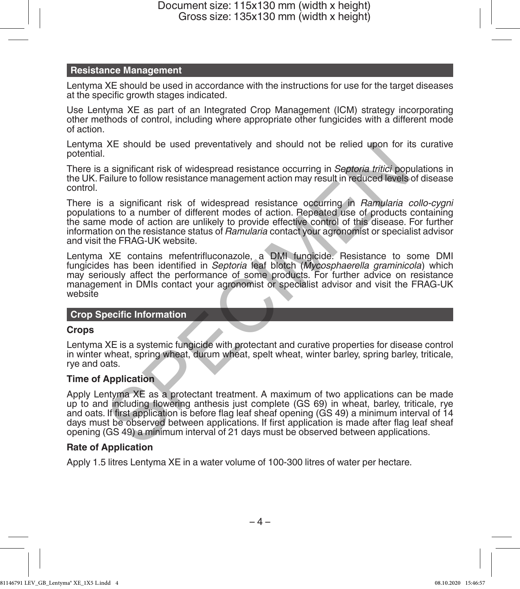### **Resistance Management**

Lentyma XE should be used in accordance with the instructions for use for the target diseases at the specific growth stages indicated.

Use Lentyma XE as part of an Integrated Crop Management (ICM) strategy incorporating other methods of control, including where appropriate other fungicides with a different mode of action.

Lentyma XE should be used preventatively and should not be relied upon for its curative potential.

There is a significant risk of widespread resistance occurring in *Septoria tritici* populations in the UK. Failure to follow resistance management action may result in reduced levels of disease control.

There is a significant risk of widespread resistance occurring in *Ramularia collo-cygni* populations to a number of different modes of action. Repeated use of products containing the same mode of action are unlikely to provide effective control of this disease. For further information on the resistance status of *Ramularia* contact your agronomist or specialist advisor and visit the FRAG-UK website. XE should be used preventatively and should not be relied upon for it<br>a significant risk of widespread resistance occurring in *Septoria tritici* pop<br>ailure to follow resistance management action may result in reduced leve

Lentyma XE contains mefentrifluconazole, a DMI fungicide. Resistance to some DMI fungicides has been identified in *Septoria* leaf blotch (*Mycosphaerella graminicola*) which may seriously affect the performance of some products. For further advice on resistance management in DMIs contact your agronomist or specialist advisor and visit the FRAG-UK website

### **Crop Specific Information**

### **Crops**

Lentyma XE is a systemic fungicide with protectant and curative properties for disease control in winter wheat, spring wheat, durum wheat, spelt wheat, winter barley, spring barley, triticale, rye and oats.

### **Time of Application**

Apply Lentyma XE as a protectant treatment. A maximum of two applications can be made up to and including flowering anthesis just complete (GS 69) in wheat, barley, triticale, rye and oats. If first application is before flag leaf sheaf opening (GS 49) a minimum interval of 14 days must be observed between applications. If first application is made after flag leaf sheaf opening (GS 49) a minimum interval of 21 days must be observed between applications.

### **Rate of Application**

Apply 1.5 litres Lentyma XE in a water volume of 100-300 litres of water per hectare.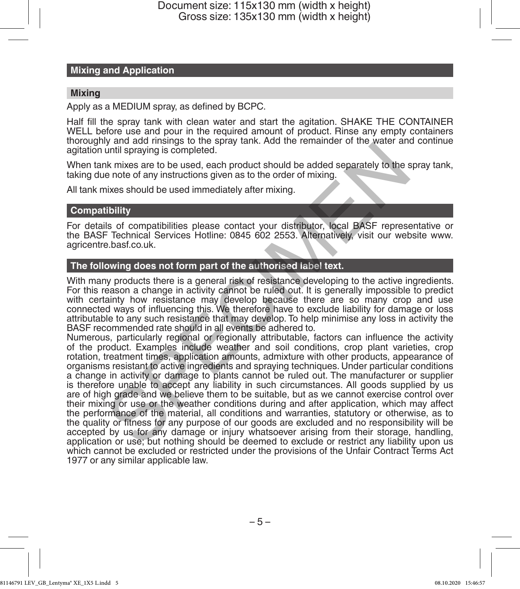### **Mixing and Application**

### **Mixing**

Apply as a MEDIUM spray, as defined by BCPC.

Half fill the spray tank with clean water and start the agitation. SHAKE THE CONTAINER WELL before use and pour in the required amount of product. Rinse any empty containers thoroughly and add rinsings to the spray tank. Add the remainder of the water and continue agitation until spraying is completed.

When tank mixes are to be used, each product should be added separately to the spray tank, taking due note of any instructions given as to the order of mixing.

All tank mixes should be used immediately after mixing.

### **Compatibility**

For details of compatibilities please contact your distributor, local BASF representative or the BASF Technical Services Hotline: 0845 602 2553. Alternatively, visit our website www. agricentre.basf.co.uk.

### **The following does not form part of the authorised label text.**

With many products there is a general risk of resistance developing to the active ingredients. For this reason a change in activity cannot be ruled out. It is generally impossible to predict with certainty how resistance may develop because there are so many crop and use<br>connected ways of influencing this. We therefore have to exclude liability for damage or loss attributable to any such resistance that may develop. To help minimise any loss in activity the BASF recommended rate should in all events be adhered to.

Numerous, particularly regional or regionally attributable, factors can influence the activity of the product. Examples include weather and soil conditions, crop plant varieties, crop rotation, treatment times, application amounts, admixture with other products, appearance of organisms resistant to active ingredients and spraying techniques. Under particular conditions a change in activity or damage to plants cannot be ruled out. The manufacturer or supplier is therefore unable to accept any liability in such circumstances. All goods supplied by us are of high grade and we believe them to be suitable, but as we cannot exercise control over their mixing or use or the weather conditions during and after application, which may affect the performance of the material, all conditions and warranties, statutory or otherwise, as to the quality or fitness for any purpose of our goods are excluded and no responsibility will be accepted by us for any damage or injury whatsoever arising from their storage, handling, application or use; but nothing should be deemed to exclude or restrict any liability upon us which cannot be excluded or restricted under the provisions of the Unfair Contract Terms Act 1977 or any similar applicable law. y and strategies the best and the strategies and the strategies of the members of the members of the members of the members of the members of the members of the strategies should be used immediately after mixing.<br>
Similarl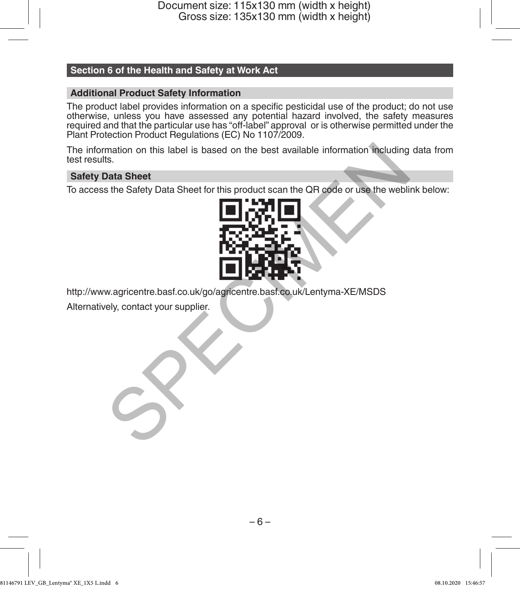### **Section 6 of the Health and Safety at Work Act**

### **Additional Product Safety Information**

The product label provides information on a specific pesticidal use of the product; do not use otherwise, unless you have assessed any potential hazard involved, the safety measures required and that the particular use has "off-label" approval or is otherwise permitted under the Plant Protection Product Regulations (EC) No 1107/2009.

The information on this label is based on the best available information including data from test results.

### **Safety Data Sheet**

To access the Safety Data Sheet for this product scan the QR code or use the weblink below:



http://www.agricentre.basf.co.uk/go/agricentre.basf.co.uk/Lentyma-XE/MSDS

Alternatively, contact your supplier.